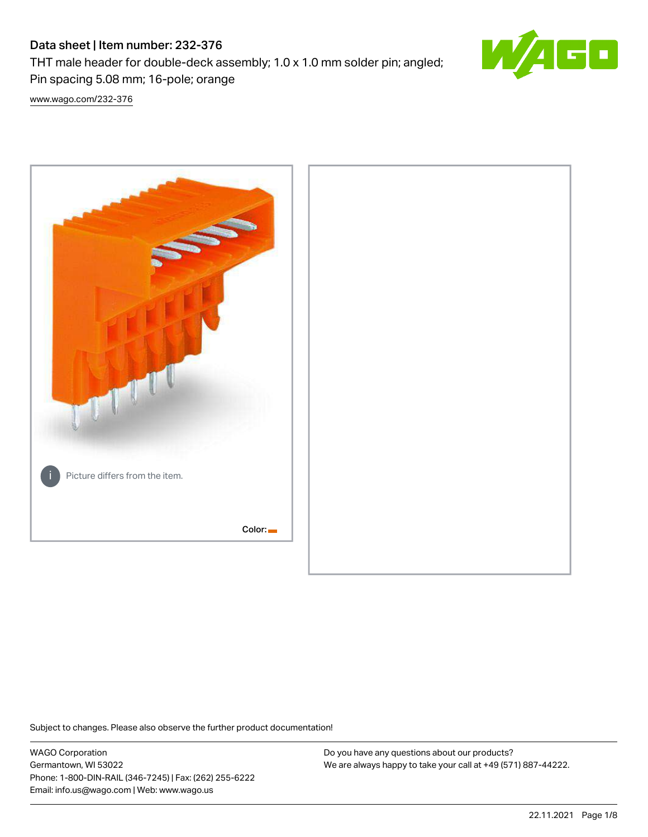# Data sheet | Item number: 232-376

THT male header for double-deck assembly; 1.0 x 1.0 mm solder pin; angled; Pin spacing 5.08 mm; 16-pole; orange



[www.wago.com/232-376](http://www.wago.com/232-376)



Subject to changes. Please also observe the further product documentation!

WAGO Corporation Germantown, WI 53022 Phone: 1-800-DIN-RAIL (346-7245) | Fax: (262) 255-6222 Email: info.us@wago.com | Web: www.wago.us

Do you have any questions about our products? We are always happy to take your call at +49 (571) 887-44222.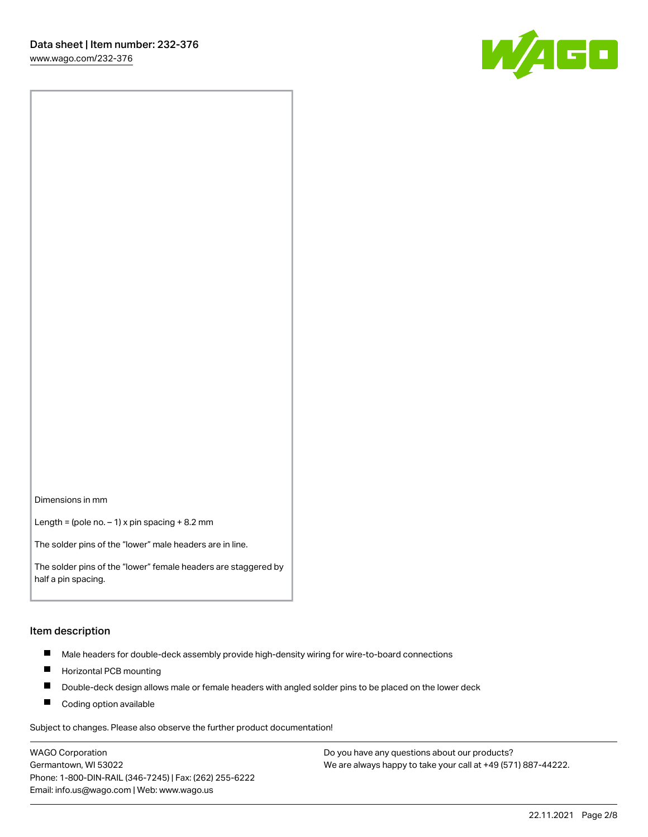W/160

Dimensions in mm

Length = (pole no.  $-1$ ) x pin spacing + 8.2 mm

The solder pins of the "lower" male headers are in line.

The solder pins of the "lower" female headers are staggered by half a pin spacing.

#### Item description

- $\blacksquare$ Male headers for double-deck assembly provide high-density wiring for wire-to-board connections
- $\blacksquare$ Horizontal PCB mounting
- $\blacksquare$ Double-deck design allows male or female headers with angled solder pins to be placed on the lower deck
- $\blacksquare$ Coding option available

Subject to changes. Please also observe the further product documentation!

WAGO Corporation Germantown, WI 53022 Phone: 1-800-DIN-RAIL (346-7245) | Fax: (262) 255-6222 Email: info.us@wago.com | Web: www.wago.us

Do you have any questions about our products? We are always happy to take your call at +49 (571) 887-44222.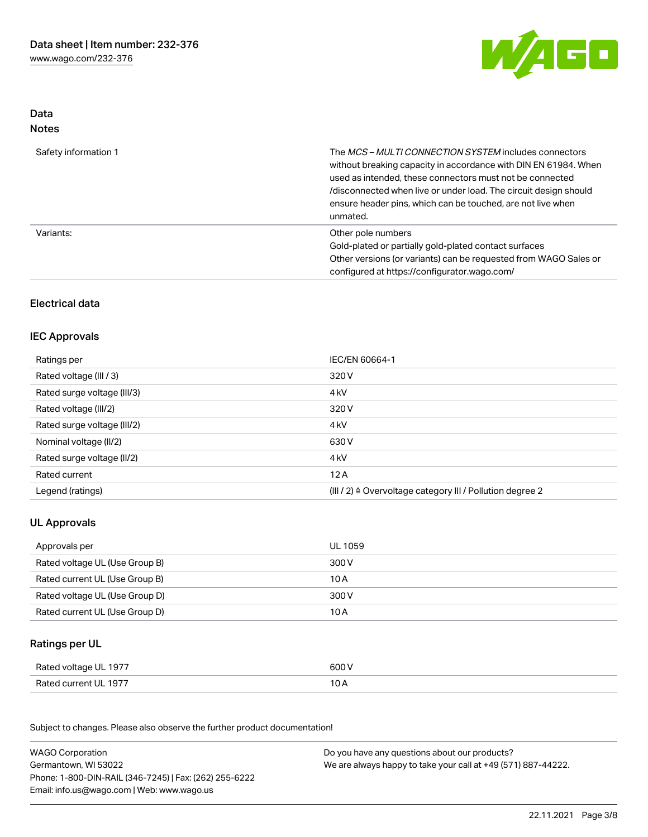

## Data Notes

| Safety information 1 | The MCS-MULTI CONNECTION SYSTEM includes connectors<br>without breaking capacity in accordance with DIN EN 61984. When<br>used as intended, these connectors must not be connected<br>/disconnected when live or under load. The circuit design should<br>ensure header pins, which can be touched, are not live when<br>unmated. |
|----------------------|-----------------------------------------------------------------------------------------------------------------------------------------------------------------------------------------------------------------------------------------------------------------------------------------------------------------------------------|
| Variants:            | Other pole numbers<br>Gold-plated or partially gold-plated contact surfaces<br>Other versions (or variants) can be requested from WAGO Sales or<br>configured at https://configurator.wago.com/                                                                                                                                   |

# Electrical data

## IEC Approvals

| Ratings per                 | IEC/EN 60664-1                                                        |
|-----------------------------|-----------------------------------------------------------------------|
| Rated voltage (III / 3)     | 320 V                                                                 |
| Rated surge voltage (III/3) | 4 <sub>k</sub> V                                                      |
| Rated voltage (III/2)       | 320 V                                                                 |
| Rated surge voltage (III/2) | 4 <sub>k</sub> V                                                      |
| Nominal voltage (II/2)      | 630 V                                                                 |
| Rated surge voltage (II/2)  | 4 <sub>k</sub> V                                                      |
| Rated current               | 12A                                                                   |
| Legend (ratings)            | $(III / 2)$ $\triangle$ Overvoltage category III / Pollution degree 2 |

# UL Approvals

| Approvals per                  | UL 1059 |
|--------------------------------|---------|
| Rated voltage UL (Use Group B) | 300 V   |
| Rated current UL (Use Group B) | 10 A    |
| Rated voltage UL (Use Group D) | 300 V   |
| Rated current UL (Use Group D) | 10 A    |

# Ratings per UL

| Rated voltage UL 1977 | 600 V          |
|-----------------------|----------------|
| Rated current UL 1977 | 1 O A<br>, U H |

Subject to changes. Please also observe the further product documentation!

| <b>WAGO Corporation</b>                                | Do you have any questions about our products?                 |
|--------------------------------------------------------|---------------------------------------------------------------|
| Germantown, WI 53022                                   | We are always happy to take your call at +49 (571) 887-44222. |
| Phone: 1-800-DIN-RAIL (346-7245)   Fax: (262) 255-6222 |                                                               |
| Email: info.us@wago.com   Web: www.wago.us             |                                                               |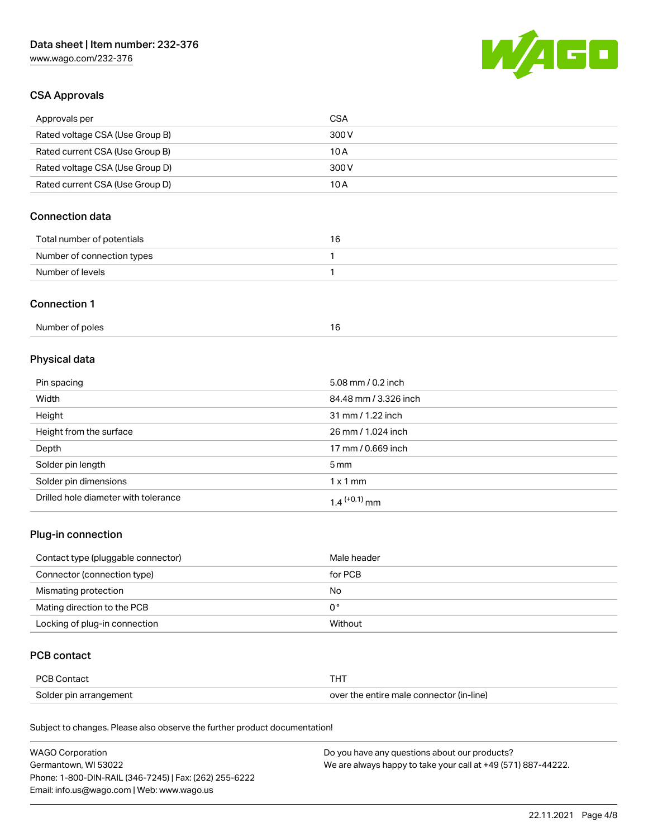# Data sheet | Item number: 232-376

[www.wago.com/232-376](http://www.wago.com/232-376)



## CSA Approvals

| Approvals per                   | CSA   |
|---------------------------------|-------|
| Rated voltage CSA (Use Group B) | 300 V |
| Rated current CSA (Use Group B) | 10 A  |
| Rated voltage CSA (Use Group D) | 300 V |
| Rated current CSA (Use Group D) | 10 A  |

# Connection data

| Total number of potentials | ıь |
|----------------------------|----|
| Number of connection types |    |
| Number of levels           |    |

#### Connection 1

# Physical data

| Pin spacing                          | 5.08 mm / 0.2 inch    |
|--------------------------------------|-----------------------|
| Width                                | 84.48 mm / 3.326 inch |
| Height                               | 31 mm / 1.22 inch     |
| Height from the surface              | 26 mm / 1.024 inch    |
| Depth                                | 17 mm / 0.669 inch    |
| Solder pin length                    | $5 \,\mathrm{mm}$     |
| Solder pin dimensions                | $1 \times 1$ mm       |
| Drilled hole diameter with tolerance | $1.4$ $(+0.1)$ mm     |

# Plug-in connection

| Contact type (pluggable connector) | Male header |
|------------------------------------|-------------|
| Connector (connection type)        | for PCB     |
| Mismating protection               | No          |
| Mating direction to the PCB        | 0°          |
| Locking of plug-in connection      | Without     |

# PCB contact

| PCB Contact            |                                          |
|------------------------|------------------------------------------|
| Solder pin arrangement | over the entire male connector (in-line) |

Subject to changes. Please also observe the further product documentation!

| <b>WAGO Corporation</b>                                | Do you have any questions about our products?                 |
|--------------------------------------------------------|---------------------------------------------------------------|
| Germantown, WI 53022                                   | We are always happy to take your call at +49 (571) 887-44222. |
| Phone: 1-800-DIN-RAIL (346-7245)   Fax: (262) 255-6222 |                                                               |
| Email: info.us@wago.com   Web: www.wago.us             |                                                               |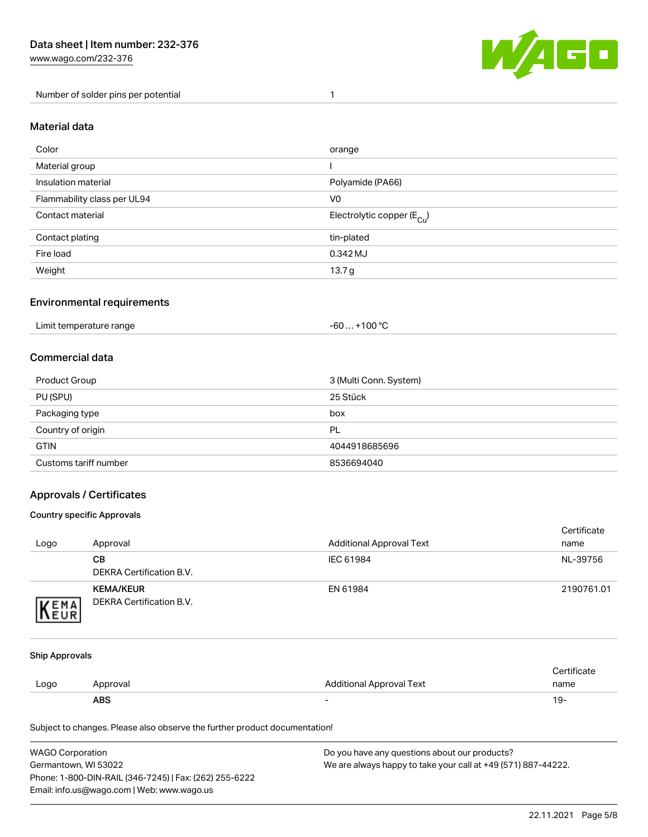[www.wago.com/232-376](http://www.wago.com/232-376)

Number of solder pins per potential 1



## Material data

| Color                       | orange                                  |
|-----------------------------|-----------------------------------------|
| Material group              |                                         |
| Insulation material         | Polyamide (PA66)                        |
| Flammability class per UL94 | V <sub>0</sub>                          |
| Contact material            | Electrolytic copper ( $E_{\text{Cu}}$ ) |
| Contact plating             | tin-plated                              |
| Fire load                   | 0.342 MJ                                |
| Weight                      | 13.7 <sub>g</sub>                       |

## Environmental requirements

| Limit temperature range | $+100 °C$<br>-60 |  |
|-------------------------|------------------|--|
|-------------------------|------------------|--|

## Commercial data

| Product Group         | 3 (Multi Conn. System) |
|-----------------------|------------------------|
| PU (SPU)              | 25 Stück               |
| Packaging type        | box                    |
| Country of origin     | PL                     |
| <b>GTIN</b>           | 4044918685696          |
| Customs tariff number | 8536694040             |

# Approvals / Certificates

#### Country specific Approvals

| Logo                | Approval                                     | <b>Additional Approval Text</b> | Certificate<br>name |
|---------------------|----------------------------------------------|---------------------------------|---------------------|
|                     | CВ<br>DEKRA Certification B.V.               | IEC 61984                       | NL-39756            |
| <b>VEMA</b><br>NEUR | <b>KEMA/KEUR</b><br>DEKRA Certification B.V. | EN 61984                        | 2190761.01          |

#### Ship Approvals

|      | <b>ABS</b> | -                               | 19-         |
|------|------------|---------------------------------|-------------|
| Logo | Approval   | <b>Additional Approval Text</b> | name        |
|      |            |                                 | ertificate. |

Subject to changes. Please also observe the further product documentation!

| WAGO Corporation                                       | Do you have any questions about our products?                 |
|--------------------------------------------------------|---------------------------------------------------------------|
| Germantown. WI 53022                                   | We are always happy to take your call at +49 (571) 887-44222. |
| Phone: 1-800-DIN-RAIL (346-7245)   Fax: (262) 255-6222 |                                                               |
| Email: info.us@wago.com   Web: www.wago.us             |                                                               |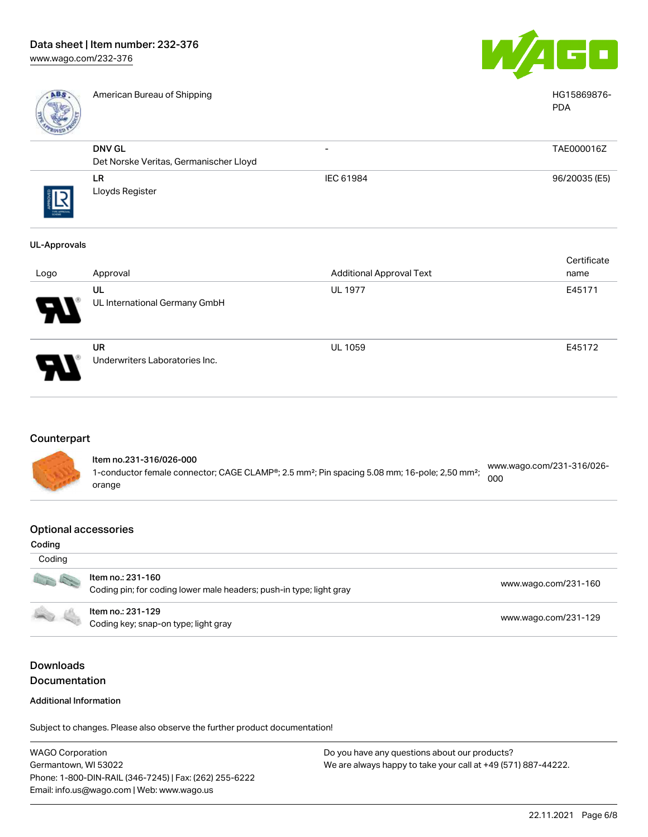

American Bureau of Shipping National American Bureau of Shipping HG15869876-



|                   |                                                         |                          | <b>PDA</b>    |
|-------------------|---------------------------------------------------------|--------------------------|---------------|
|                   | <b>DNV GL</b><br>Det Norske Veritas, Germanischer Lloyd | $\overline{\phantom{0}}$ | TAE000016Z    |
| ζ<br>THE APPROVAL | LR<br>Lloyds Register                                   | IEC 61984                | 96/20035 (E5) |
| UL-Approvals      |                                                         |                          |               |

|      |                                             |                                 | Certificate |
|------|---------------------------------------------|---------------------------------|-------------|
| Logo | Approval                                    | <b>Additional Approval Text</b> | name        |
| Ъ.   | UL<br>UL International Germany GmbH         | <b>UL 1977</b>                  | E45171      |
| D    | <b>UR</b><br>Underwriters Laboratories Inc. | <b>UL 1059</b>                  | E45172      |

#### Counterpart



#### Optional accessories

| Coding |                                                                                          |                      |
|--------|------------------------------------------------------------------------------------------|----------------------|
| Coding |                                                                                          |                      |
| 10 and | Item no.: 231-160<br>Coding pin; for coding lower male headers; push-in type; light gray | www.wago.com/231-160 |
|        | Item no.: 231-129<br>Coding key; snap-on type; light gray                                | www.wago.com/231-129 |

# Downloads Documentation

#### Additional Information

Subject to changes. Please also observe the further product documentation!

WAGO Corporation Germantown, WI 53022 Phone: 1-800-DIN-RAIL (346-7245) | Fax: (262) 255-6222 Email: info.us@wago.com | Web: www.wago.us Do you have any questions about our products? We are always happy to take your call at +49 (571) 887-44222.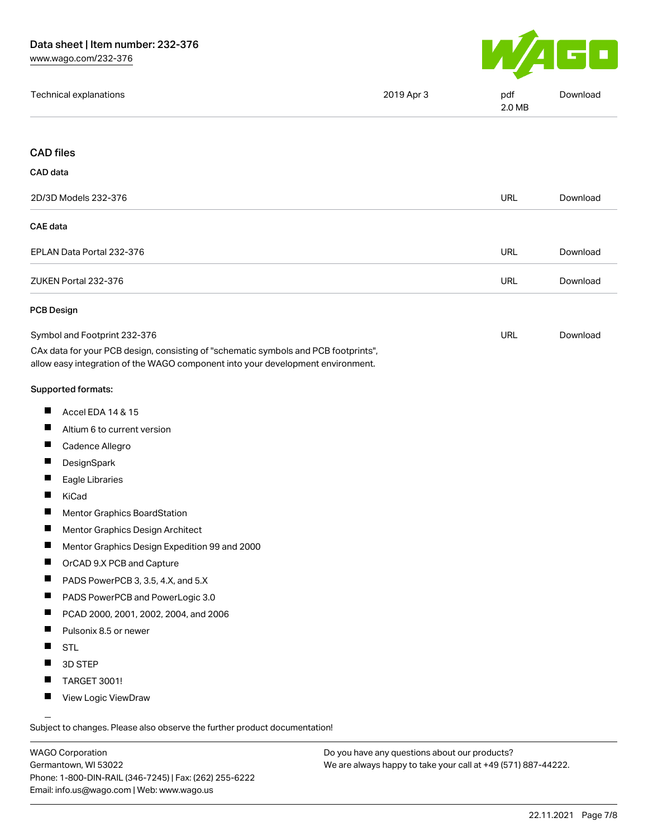

| Technical explanations | 2019 Apr 3 | pdf<br>2.0 MB | Download |
|------------------------|------------|---------------|----------|
|                        |            |               |          |

#### CAD files

| CAD data                  |            |          |
|---------------------------|------------|----------|
| 2D/3D Models 232-376      | <b>URL</b> | Download |
| CAE data                  |            |          |
| EPLAN Data Portal 232-376 | <b>URL</b> | Download |
| ZUKEN Portal 232-376      | <b>URL</b> | Download |
| PCB Design                |            |          |

| Symbol and Footprint 232-376                                                        | URL | Download |
|-------------------------------------------------------------------------------------|-----|----------|
| CAx data for your PCB design, consisting of "schematic symbols and PCB footprints", |     |          |
| allow easy integration of the WAGO component into your development environment.     |     |          |

#### Supported formats:

- $\blacksquare$ Accel EDA 14 & 15
- $\blacksquare$ Altium 6 to current version
- $\blacksquare$ Cadence Allegro
- $\blacksquare$ **DesignSpark**
- $\blacksquare$ Eagle Libraries
- $\blacksquare$ KiCad
- $\blacksquare$ Mentor Graphics BoardStation
- $\blacksquare$ Mentor Graphics Design Architect
- $\blacksquare$ Mentor Graphics Design Expedition 99 and 2000
- $\blacksquare$ OrCAD 9.X PCB and Capture
- П PADS PowerPCB 3, 3.5, 4.X, and 5.X
- П PADS PowerPCB and PowerLogic 3.0
- $\blacksquare$ PCAD 2000, 2001, 2002, 2004, and 2006
- $\blacksquare$ Pulsonix 8.5 or newer
- $\blacksquare$ STL
- $\blacksquare$ 3D STEP
- $\blacksquare$ TARGET 3001!
- $\blacksquare$ View Logic ViewDraw

Subject to changes. Please also observe the further product documentation!

WAGO Corporation Germantown, WI 53022 Phone: 1-800-DIN-RAIL (346-7245) | Fax: (262) 255-6222 Email: info.us@wago.com | Web: www.wago.us

Do you have any questions about our products? We are always happy to take your call at +49 (571) 887-44222.